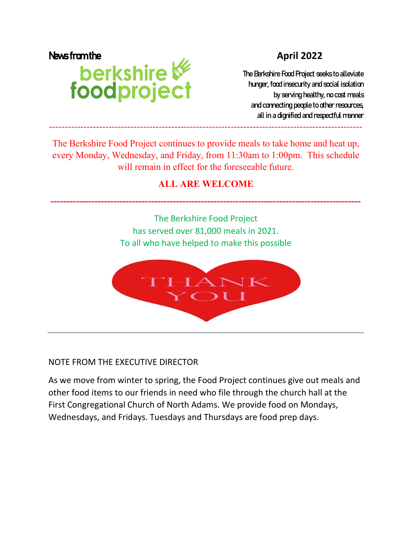# News from the April 2022<br> **Derkshire Manual Constant of Constant Constant Constant Constant Constant Constant Constant Constant Constant Constant Constant Constant Constant Constant Constant Constant Constant Constant Cons**

The Berkshire Food Project seeks to alleviate hunger, food insecurity and social isolation by serving healthy, no cost meals and connecting people to other resources, all in a dignified and respectful manner

The Berkshire Food Project continues to provide meals to take home and heat up, every Monday, Wednesday, and Friday, from 11:30am to 1:00pm. This schedule will remain in effect for the foreseeable future.

----------------------------------------------------------------------------------------------------

# **ALL ARE WELCOME**

**---------------------------------------------------------------------------------------------------** 

The Berkshire Food Project has served over 81,000 meals in 2021. To all who have helped to make this possible



## NOTE FROM THE EXECUTIVE DIRECTOR

As we move from winter to spring, the Food Project continues give out meals and other food items to our friends in need who file through the church hall at the First Congregational Church of North Adams. We provide food on Mondays, Wednesdays, and Fridays. Tuesdays and Thursdays are food prep days.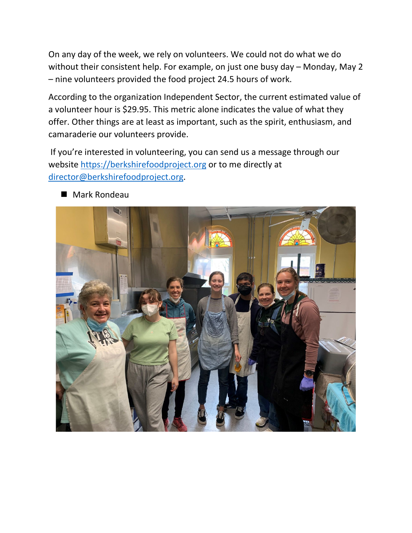On any day of the week, we rely on volunteers. We could not do what we do without their consistent help. For example, on just one busy day – Monday, May 2 – nine volunteers provided the food project 24.5 hours of work.

According to the organization Independent Sector, the current estimated value of a volunteer hour is \$29.95. This metric alone indicates the value of what they offer. Other things are at least as important, such as the spirit, enthusiasm, and camaraderie our volunteers provide.

If you're interested in volunteering, you can send us a message through our website [https://berkshirefoodproject.org](https://berkshirefoodproject.org/) or to me directly at [director@berkshirefoodproject.org.](mailto:director@berkshirefoodproject.org)



■ Mark Rondeau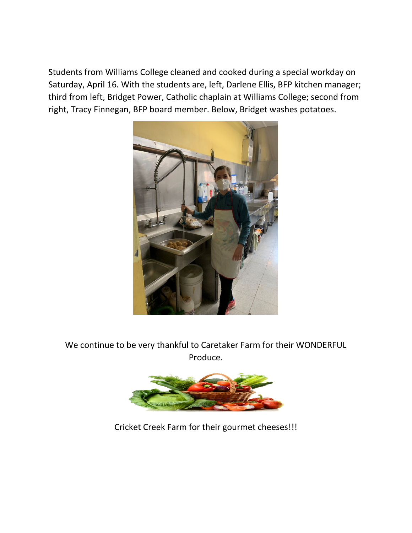Students from Williams College cleaned and cooked during a special workday on Saturday, April 16. With the students are, left, Darlene Ellis, BFP kitchen manager; third from left, Bridget Power, Catholic chaplain at Williams College; second from right, Tracy Finnegan, BFP board member. Below, Bridget washes potatoes.



We continue to be very thankful to Caretaker Farm for their WONDERFUL Produce.



Cricket Creek Farm for their gourmet cheeses!!!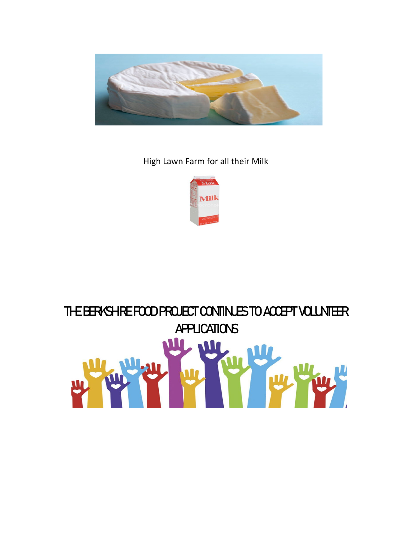

High Lawn Farm for all their Milk